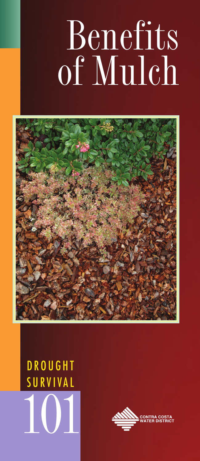# Benefits of Mulch